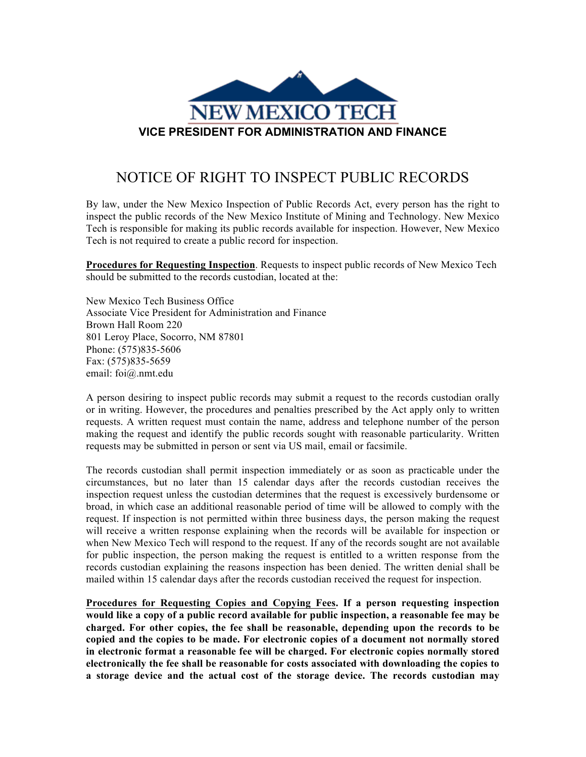

## NOTICE OF RIGHT TO INSPECT PUBLIC RECORDS

By law, under the New Mexico Inspection of Public Records Act, every person has the right to inspect the public records of the New Mexico Institute of Mining and Technology. New Mexico Tech is responsible for making its public records available for inspection. However, New Mexico Tech is not required to create a public record for inspection.

**Procedures for Requesting Inspection**. Requests to inspect public records of New Mexico Tech should be submitted to the records custodian, located at the:

New Mexico Tech Business Office Associate Vice President for Administration and Finance Brown Hall Room 220 801 Leroy Place, Socorro, NM 87801 Phone: (575)835-5606 Fax: (575)835-5659 email: foi@.nmt.edu

A person desiring to inspect public records may submit a request to the records custodian orally or in writing. However, the procedures and penalties prescribed by the Act apply only to written requests. A written request must contain the name, address and telephone number of the person making the request and identify the public records sought with reasonable particularity. Written requests may be submitted in person or sent via US mail, email or facsimile.

The records custodian shall permit inspection immediately or as soon as practicable under the circumstances, but no later than 15 calendar days after the records custodian receives the inspection request unless the custodian determines that the request is excessively burdensome or broad, in which case an additional reasonable period of time will be allowed to comply with the request. If inspection is not permitted within three business days, the person making the request will receive a written response explaining when the records will be available for inspection or when New Mexico Tech will respond to the request. If any of the records sought are not available for public inspection, the person making the request is entitled to a written response from the records custodian explaining the reasons inspection has been denied. The written denial shall be mailed within 15 calendar days after the records custodian received the request for inspection.

**Procedures for Requesting Copies and Copying Fees. If a person requesting inspection would like a copy of a public record available for public inspection, a reasonable fee may be charged. For other copies, the fee shall be reasonable, depending upon the records to be copied and the copies to be made. For electronic copies of a document not normally stored in electronic format a reasonable fee will be charged. For electronic copies normally stored electronically the fee shall be reasonable for costs associated with downloading the copies to a storage device and the actual cost of the storage device. The records custodian may**